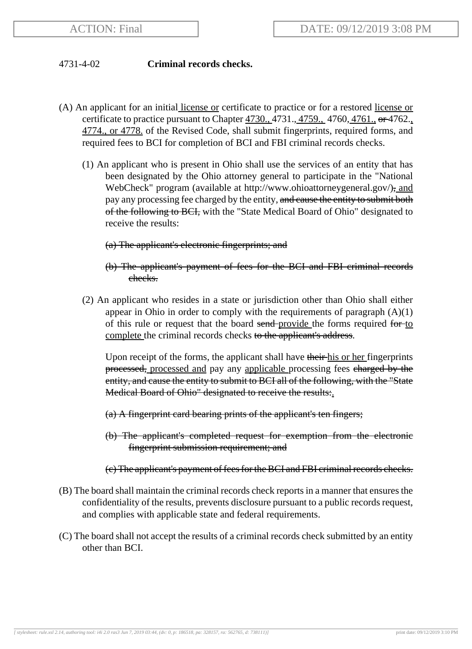## 4731-4-02 **Criminal records checks.**

- (A) An applicant for an initial license or certificate to practice or for a restored license or certificate to practice pursuant to Chapter 4730., 4731., 4759., 4760, 4761., or 4762. 4774., or 4778. of the Revised Code, shall submit fingerprints, required forms, and required fees to BCI for completion of BCI and FBI criminal records checks.
	- (1) An applicant who is present in Ohio shall use the services of an entity that has been designated by the Ohio attorney general to participate in the "National WebCheck" program (available at http://www.ohioattorneygeneral.gov/), and pay any processing fee charged by the entity, and cause the entity to submit both of the following to BCI, with the "State Medical Board of Ohio" designated to receive the results:

## (a) The applicant's electronic fingerprints; and

- (b) The applicant's payment of fees for the BCI and FBI criminal records checks.
- (2) An applicant who resides in a state or jurisdiction other than Ohio shall either appear in Ohio in order to comply with the requirements of paragraph  $(A)(1)$ of this rule or request that the board send-provide the forms required for to complete the criminal records checks to the applicant's address.

Upon receipt of the forms, the applicant shall have their his or her fingerprints processed, processed and pay any applicable processing fees charged by the entity, and cause the entity to submit to BCI all of the following, with the "State Medical Board of Ohio" designated to receive the results:

(a) A fingerprint card bearing prints of the applicant's ten fingers;

(b) The applicant's completed request for exemption from the electronic fingerprint submission requirement; and

## (c) The applicant's payment of fees for the BCI and FBI criminal records checks.

- (B) The board shall maintain the criminal records check reports in a manner that ensures the confidentiality of the results, prevents disclosure pursuant to a public records request, and complies with applicable state and federal requirements.
- (C) The board shall not accept the results of a criminal records check submitted by an entity other than BCI.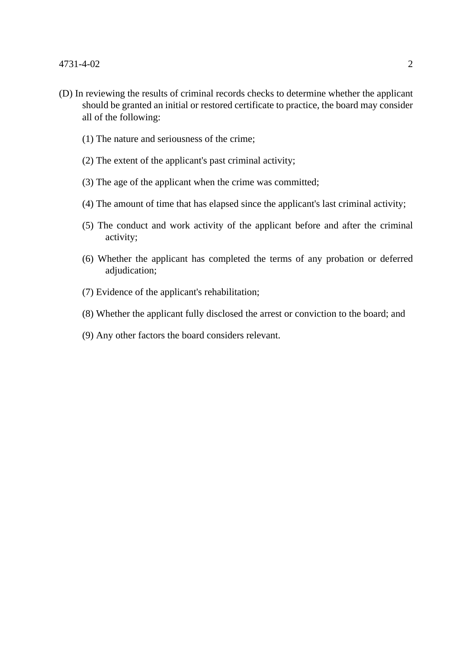- (D) In reviewing the results of criminal records checks to determine whether the applicant should be granted an initial or restored certificate to practice, the board may consider all of the following:
	- (1) The nature and seriousness of the crime;
	- (2) The extent of the applicant's past criminal activity;
	- (3) The age of the applicant when the crime was committed;
	- (4) The amount of time that has elapsed since the applicant's last criminal activity;
	- (5) The conduct and work activity of the applicant before and after the criminal activity;
	- (6) Whether the applicant has completed the terms of any probation or deferred adjudication;
	- (7) Evidence of the applicant's rehabilitation;
	- (8) Whether the applicant fully disclosed the arrest or conviction to the board; and
	- (9) Any other factors the board considers relevant.